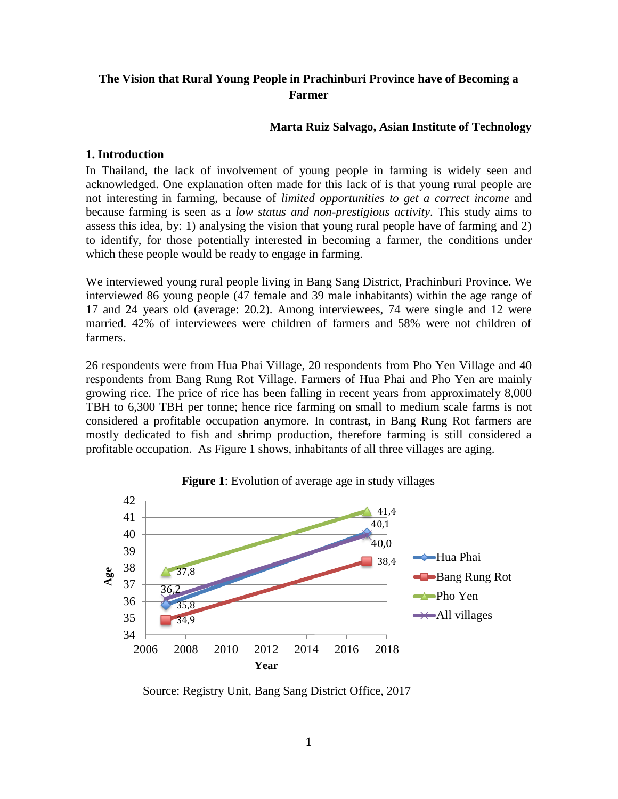# **The Vision that Rural Young People in Prachinburi Province have of Becoming a Farmer**

## **Marta Ruiz Salvago, Asian Institute of Technology**

## **1. Introduction**

In Thailand, the lack of involvement of young people in farming is widely seen and acknowledged. One explanation often made for this lack of is that young rural people are not interesting in farming, because of *limited opportunities to get a correct income* and because farming is seen as a *low status and non-prestigious activity*. This study aims to assess this idea, by: 1) analysing the vision that young rural people have of farming and 2) to identify, for those potentially interested in becoming a farmer, the conditions under which these people would be ready to engage in farming.

We interviewed young rural people living in Bang Sang District, Prachinburi Province. We interviewed 86 young people (47 female and 39 male inhabitants) within the age range of 17 and 24 years old (average: 20.2). Among interviewees, 74 were single and 12 were married. 42% of interviewees were children of farmers and 58% were not children of farmers.

26 respondents were from Hua Phai Village, 20 respondents from Pho Yen Village and 40 respondents from Bang Rung Rot Village. Farmers of Hua Phai and Pho Yen are mainly growing rice. The price of rice has been falling in recent years from approximately 8,000 TBH to 6,300 TBH per tonne; hence rice farming on small to medium scale farms is not considered a profitable occupation anymore. In contrast, in Bang Rung Rot farmers are mostly dedicated to fish and shrimp production, therefore farming is still considered a profitable occupation. As Figure 1 shows, inhabitants of all three villages are aging.



**Figure 1**: Evolution of average age in study villages

Source: Registry Unit, Bang Sang District Office, 2017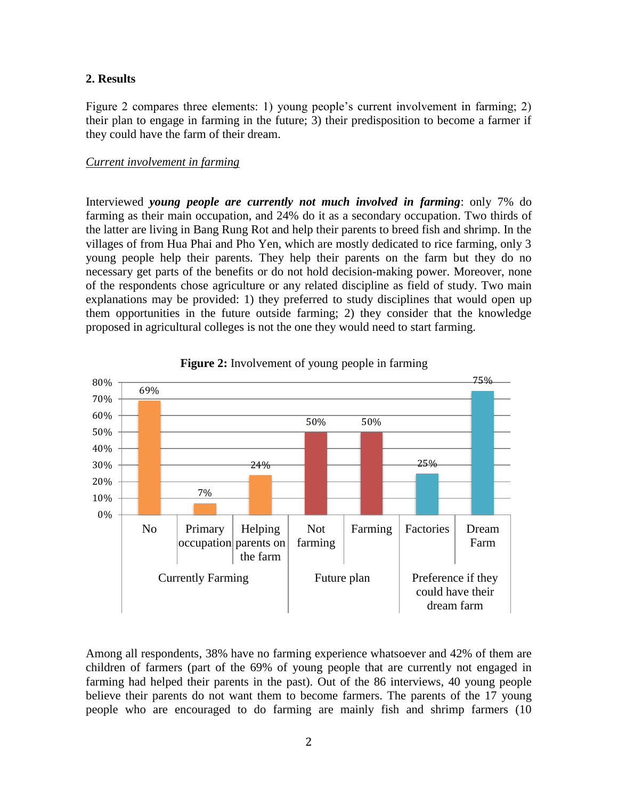#### **2. Results**

Figure 2 compares three elements: 1) young people's current involvement in farming; 2) their plan to engage in farming in the future; 3) their predisposition to become a farmer if they could have the farm of their dream.

#### *Current involvement in farming*

Interviewed *young people are currently not much involved in farming*: only 7% do farming as their main occupation, and 24% do it as a secondary occupation. Two thirds of the latter are living in Bang Rung Rot and help their parents to breed fish and shrimp. In the villages of from Hua Phai and Pho Yen, which are mostly dedicated to rice farming, only 3 young people help their parents. They help their parents on the farm but they do no necessary get parts of the benefits or do not hold decision-making power. Moreover, none of the respondents chose agriculture or any related discipline as field of study. Two main explanations may be provided: 1) they preferred to study disciplines that would open up them opportunities in the future outside farming; 2) they consider that the knowledge proposed in agricultural colleges is not the one they would need to start farming.





Among all respondents, 38% have no farming experience whatsoever and 42% of them are children of farmers (part of the 69% of young people that are currently not engaged in farming had helped their parents in the past). Out of the 86 interviews, 40 young people believe their parents do not want them to become farmers. The parents of the 17 young people who are encouraged to do farming are mainly fish and shrimp farmers (10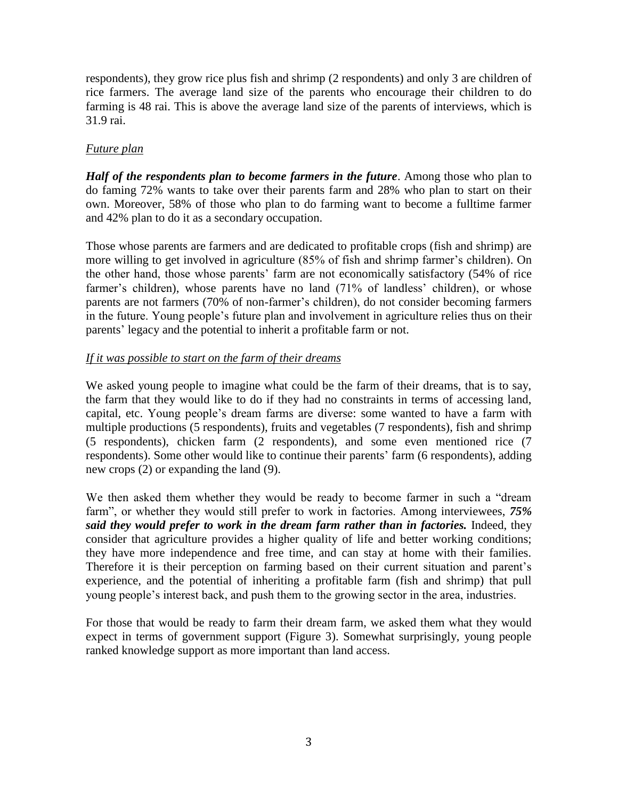respondents), they grow rice plus fish and shrimp (2 respondents) and only 3 are children of rice farmers. The average land size of the parents who encourage their children to do farming is 48 rai. This is above the average land size of the parents of interviews, which is 31.9 rai.

## *Future plan*

*Half of the respondents plan to become farmers in the future.* Among those who plan to do faming 72% wants to take over their parents farm and 28% who plan to start on their own. Moreover, 58% of those who plan to do farming want to become a fulltime farmer and 42% plan to do it as a secondary occupation.

Those whose parents are farmers and are dedicated to profitable crops (fish and shrimp) are more willing to get involved in agriculture (85% of fish and shrimp farmer's children). On the other hand, those whose parents' farm are not economically satisfactory (54% of rice farmer's children), whose parents have no land (71% of landless' children), or whose parents are not farmers (70% of non-farmer's children), do not consider becoming farmers in the future. Young people's future plan and involvement in agriculture relies thus on their parents' legacy and the potential to inherit a profitable farm or not.

## *If it was possible to start on the farm of their dreams*

We asked young people to imagine what could be the farm of their dreams, that is to say, the farm that they would like to do if they had no constraints in terms of accessing land, capital, etc. Young people's dream farms are diverse: some wanted to have a farm with multiple productions (5 respondents), fruits and vegetables (7 respondents), fish and shrimp (5 respondents), chicken farm (2 respondents), and some even mentioned rice (7 respondents). Some other would like to continue their parents' farm (6 respondents), adding new crops (2) or expanding the land (9).

We then asked them whether they would be ready to become farmer in such a "dream farm", or whether they would still prefer to work in factories. Among interviewees, *75% said they would prefer to work in the dream farm rather than in factories.* Indeed, they consider that agriculture provides a higher quality of life and better working conditions; they have more independence and free time, and can stay at home with their families. Therefore it is their perception on farming based on their current situation and parent's experience, and the potential of inheriting a profitable farm (fish and shrimp) that pull young people's interest back, and push them to the growing sector in the area, industries.

For those that would be ready to farm their dream farm, we asked them what they would expect in terms of government support (Figure 3). Somewhat surprisingly, young people ranked knowledge support as more important than land access.